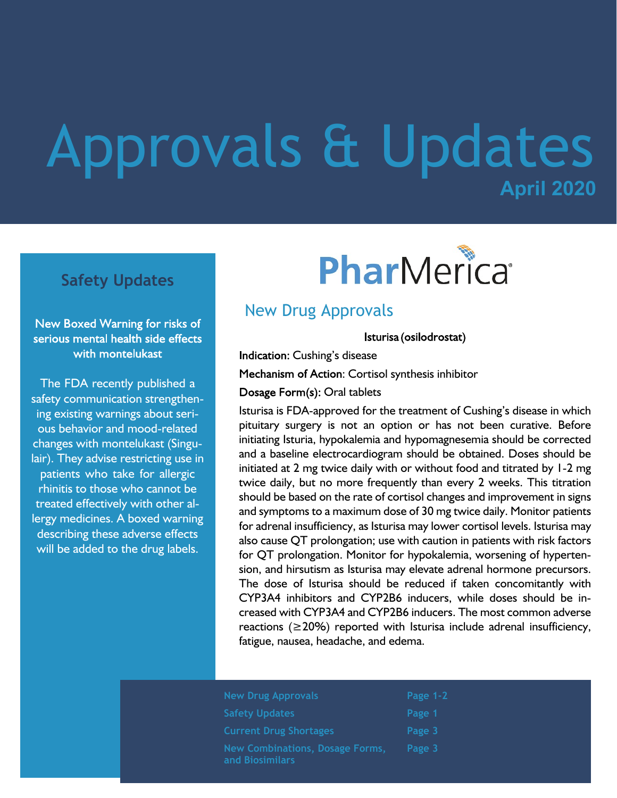# **April 2020** Approvals & Updates

#### **Safety Updates**

#### New Boxed Warning for risks of serious mental health side effects with montelukast

The FDA recently published a safety communication strengthening existing warnings about serious behavior and mood-related changes with montelukast (Singulair). They advise restricting use in patients who take for allergic rhinitis to those who cannot be treated effectively with other allergy medicines. A boxed warning describing these adverse effects will be added to the drug labels.

# PharMerica®

#### New Drug Approvals

Isturisa (osilodrostat)

Indication: Cushing's disease

Mechanism of Action: Cortisol synthesis inhibitor

Dosage Form(s): Oral tablets

Isturisa is FDA-approved for the treatment of Cushing's disease in which pituitary surgery is not an option or has not been curative. Before initiating Isturia, hypokalemia and hypomagnesemia should be corrected and a baseline electrocardiogram should be obtained. Doses should be initiated at 2 mg twice daily with or without food and titrated by 1-2 mg twice daily, but no more frequently than every 2 weeks. This titration should be based on the rate of cortisol changes and improvement in signs and symptoms to a maximum dose of 30 mg twice daily. Monitor patients for adrenal insufficiency, as Isturisa may lower cortisol levels. Isturisa may also cause QT prolongation; use with caution in patients with risk factors for QT prolongation. Monitor for hypokalemia, worsening of hypertension, and hirsutism as Isturisa may elevate adrenal hormone precursors. The dose of Isturisa should be reduced if taken concomitantly with CYP3A4 inhibitors and CYP2B6 inducers, while doses should be increased with CYP3A4 and CYP2B6 inducers. The most common adverse reactions ( $\geq$ 20%) reported with Isturisa include adrenal insufficiency, fatigue, nausea, headache, and edema.

| <b>New Drug Approvals</b>                          | Page $1-2$ |
|----------------------------------------------------|------------|
| <b>Safety Updates</b>                              | Page 1     |
| <b>Current Drug Shortages</b>                      | Page 3     |
| New Combinations, Dosage Forms,<br>and Biosimilars | Page 3     |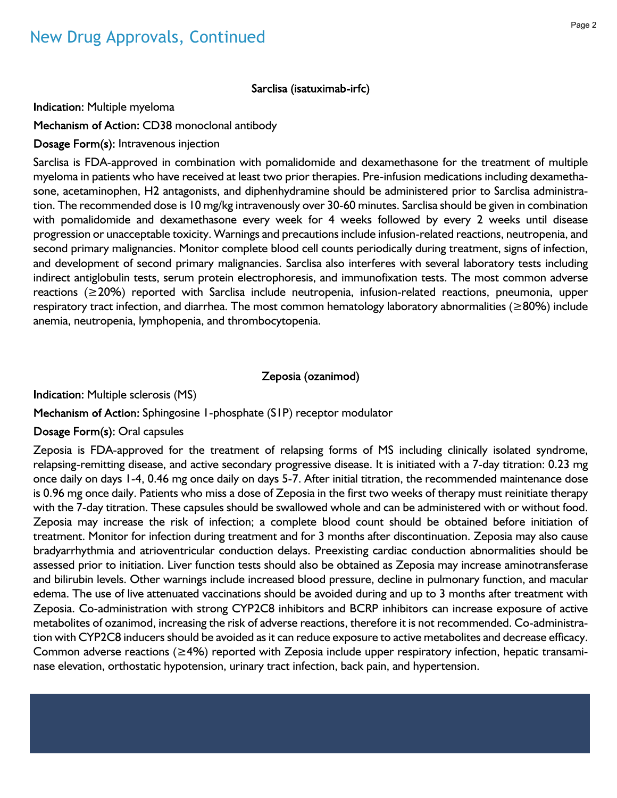Sarclisa (isatuximab-irfc)

Indication: Multiple myeloma

Mechanism of Action: CD38 monoclonal antibody

Dosage Form(s): Intravenous injection

Sarclisa is FDA-approved in combination with pomalidomide and dexamethasone for the treatment of multiple myeloma in patients who have received at least two prior therapies. Pre-infusion medications including dexamethasone, acetaminophen, H2 antagonists, and diphenhydramine should be administered prior to Sarclisa administration. The recommended dose is 10 mg/kg intravenously over 30-60 minutes. Sarclisa should be given in combination with pomalidomide and dexamethasone every week for 4 weeks followed by every 2 weeks until disease progression or unacceptable toxicity. Warnings and precautions include infusion-related reactions, neutropenia, and second primary malignancies. Monitor complete blood cell counts periodically during treatment, signs of infection, and development of second primary malignancies. Sarclisa also interferes with several laboratory tests including indirect antiglobulin tests, serum protein electrophoresis, and immunofixation tests. The most common adverse reactions (≥20%) reported with Sarclisa include neutropenia, infusion-related reactions, pneumonia, upper respiratory tract infection, and diarrhea. The most common hematology laboratory abnormalities (≥80%) include anemia, neutropenia, lymphopenia, and thrombocytopenia.

#### Zeposia (ozanimod)

Indication: Multiple sclerosis (MS)

Mechanism of Action: Sphingosine 1-phosphate (S1P) receptor modulator

Dosage Form(s): Oral capsules

Zeposia is FDA-approved for the treatment of relapsing forms of MS including clinically isolated syndrome, relapsing-remitting disease, and active secondary progressive disease. It is initiated with a 7-day titration: 0.23 mg once daily on days 1-4, 0.46 mg once daily on days 5-7. After initial titration, the recommended maintenance dose is 0.96 mg once daily. Patients who miss a dose of Zeposia in the first two weeks of therapy must reinitiate therapy with the 7-day titration. These capsules should be swallowed whole and can be administered with or without food. Zeposia may increase the risk of infection; a complete blood count should be obtained before initiation of treatment. Monitor for infection during treatment and for 3 months after discontinuation. Zeposia may also cause bradyarrhythmia and atrioventricular conduction delays. Preexisting cardiac conduction abnormalities should be assessed prior to initiation. Liver function tests should also be obtained as Zeposia may increase aminotransferase and bilirubin levels. Other warnings include increased blood pressure, decline in pulmonary function, and macular edema. The use of live attenuated vaccinations should be avoided during and up to 3 months after treatment with Zeposia. Co-administration with strong CYP2C8 inhibitors and BCRP inhibitors can increase exposure of active metabolites of ozanimod, increasing the risk of adverse reactions, therefore it is not recommended. Co-administration with CYP2C8 inducers should be avoided as it can reduce exposure to active metabolites and decrease efficacy. Common adverse reactions (≥4%) reported with Zeposia include upper respiratory infection, hepatic transaminase elevation, orthostatic hypotension, urinary tract infection, back pain, and hypertension.